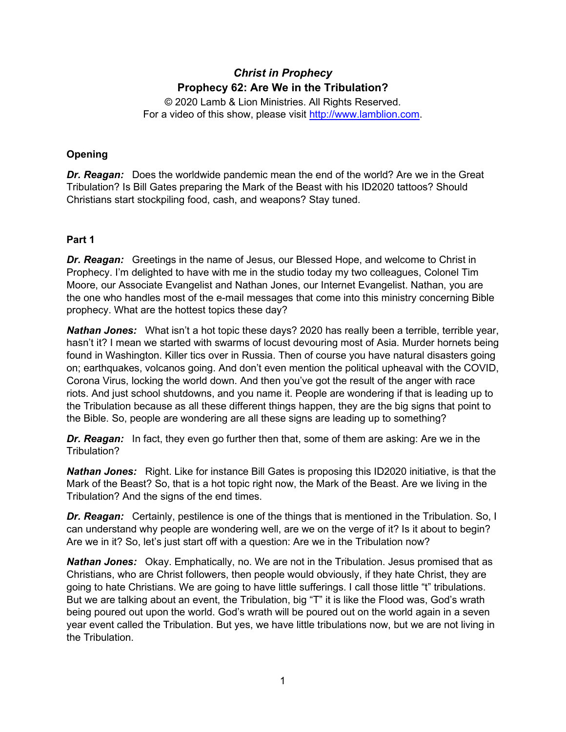# *Christ in Prophecy* **Prophecy 62: Are We in the Tribulation?**

© 2020 Lamb & Lion Ministries. All Rights Reserved. For a video of this show, please visit [http://www.lamblion.com.](http://www.lamblion.com/)

## **Opening**

*Dr. Reagan:* Does the worldwide pandemic mean the end of the world? Are we in the Great Tribulation? Is Bill Gates preparing the Mark of the Beast with his ID2020 tattoos? Should Christians start stockpiling food, cash, and weapons? Stay tuned.

## **Part 1**

*Dr. Reagan:* Greetings in the name of Jesus, our Blessed Hope, and welcome to Christ in Prophecy. I'm delighted to have with me in the studio today my two colleagues, Colonel Tim Moore, our Associate Evangelist and Nathan Jones, our Internet Evangelist. Nathan, you are the one who handles most of the e-mail messages that come into this ministry concerning Bible prophecy. What are the hottest topics these day?

*Nathan Jones:* What isn't a hot topic these days? 2020 has really been a terrible, terrible year, hasn't it? I mean we started with swarms of locust devouring most of Asia. Murder hornets being found in Washington. Killer tics over in Russia. Then of course you have natural disasters going on; earthquakes, volcanos going. And don't even mention the political upheaval with the COVID, Corona Virus, locking the world down. And then you've got the result of the anger with race riots. And just school shutdowns, and you name it. People are wondering if that is leading up to the Tribulation because as all these different things happen, they are the big signs that point to the Bible. So, people are wondering are all these signs are leading up to something?

*Dr. Reagan:* In fact, they even go further then that, some of them are asking: Are we in the Tribulation?

*Nathan Jones:* Right. Like for instance Bill Gates is proposing this ID2020 initiative, is that the Mark of the Beast? So, that is a hot topic right now, the Mark of the Beast. Are we living in the Tribulation? And the signs of the end times.

*Dr. Reagan:* Certainly, pestilence is one of the things that is mentioned in the Tribulation. So, I can understand why people are wondering well, are we on the verge of it? Is it about to begin? Are we in it? So, let's just start off with a question: Are we in the Tribulation now?

*Nathan Jones:* Okay. Emphatically, no. We are not in the Tribulation. Jesus promised that as Christians, who are Christ followers, then people would obviously, if they hate Christ, they are going to hate Christians. We are going to have little sufferings. I call those little "t" tribulations. But we are talking about an event, the Tribulation, big "T" it is like the Flood was, God's wrath being poured out upon the world. God's wrath will be poured out on the world again in a seven year event called the Tribulation. But yes, we have little tribulations now, but we are not living in the Tribulation.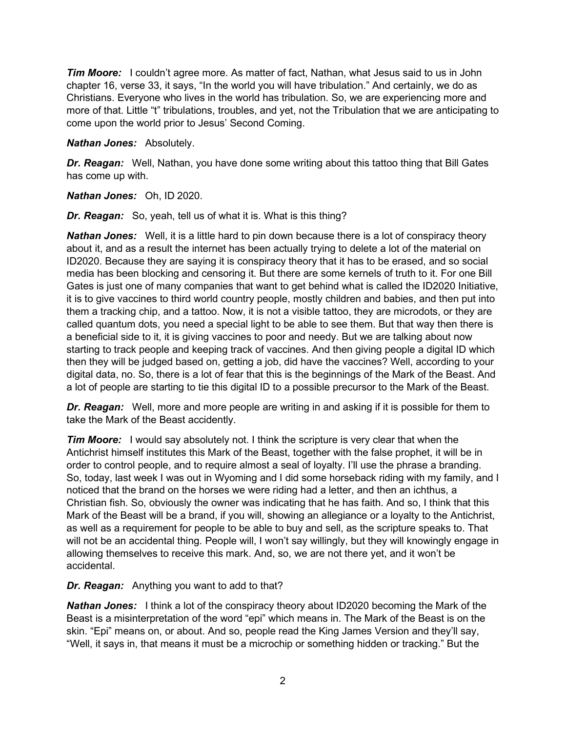*Tim Moore:* I couldn't agree more. As matter of fact, Nathan, what Jesus said to us in John chapter 16, verse 33, it says, "In the world you will have tribulation." And certainly, we do as Christians. Everyone who lives in the world has tribulation. So, we are experiencing more and more of that. Little "t" tribulations, troubles, and yet, not the Tribulation that we are anticipating to come upon the world prior to Jesus' Second Coming.

## *Nathan Jones:* Absolutely.

*Dr. Reagan:* Well, Nathan, you have done some writing about this tattoo thing that Bill Gates has come up with.

*Nathan Jones:* Oh, ID 2020.

*Dr. Reagan:* So, yeah, tell us of what it is. What is this thing?

*Nathan Jones:* Well, it is a little hard to pin down because there is a lot of conspiracy theory about it, and as a result the internet has been actually trying to delete a lot of the material on ID2020. Because they are saying it is conspiracy theory that it has to be erased, and so social media has been blocking and censoring it. But there are some kernels of truth to it. For one Bill Gates is just one of many companies that want to get behind what is called the ID2020 Initiative, it is to give vaccines to third world country people, mostly children and babies, and then put into them a tracking chip, and a tattoo. Now, it is not a visible tattoo, they are microdots, or they are called quantum dots, you need a special light to be able to see them. But that way then there is a beneficial side to it, it is giving vaccines to poor and needy. But we are talking about now starting to track people and keeping track of vaccines. And then giving people a digital ID which then they will be judged based on, getting a job, did have the vaccines? Well, according to your digital data, no. So, there is a lot of fear that this is the beginnings of the Mark of the Beast. And a lot of people are starting to tie this digital ID to a possible precursor to the Mark of the Beast.

**Dr. Reagan:** Well, more and more people are writing in and asking if it is possible for them to take the Mark of the Beast accidently.

*Tim Moore:* I would say absolutely not. I think the scripture is very clear that when the Antichrist himself institutes this Mark of the Beast, together with the false prophet, it will be in order to control people, and to require almost a seal of loyalty. I'll use the phrase a branding. So, today, last week I was out in Wyoming and I did some horseback riding with my family, and I noticed that the brand on the horses we were riding had a letter, and then an ichthus, a Christian fish. So, obviously the owner was indicating that he has faith. And so, I think that this Mark of the Beast will be a brand, if you will, showing an allegiance or a loyalty to the Antichrist, as well as a requirement for people to be able to buy and sell, as the scripture speaks to. That will not be an accidental thing. People will, I won't say willingly, but they will knowingly engage in allowing themselves to receive this mark. And, so, we are not there yet, and it won't be accidental.

*Dr. Reagan:* Anything you want to add to that?

*Nathan Jones:* I think a lot of the conspiracy theory about ID2020 becoming the Mark of the Beast is a misinterpretation of the word "epi" which means in. The Mark of the Beast is on the skin. "Epi" means on, or about. And so, people read the King James Version and they'll say, "Well, it says in, that means it must be a microchip or something hidden or tracking." But the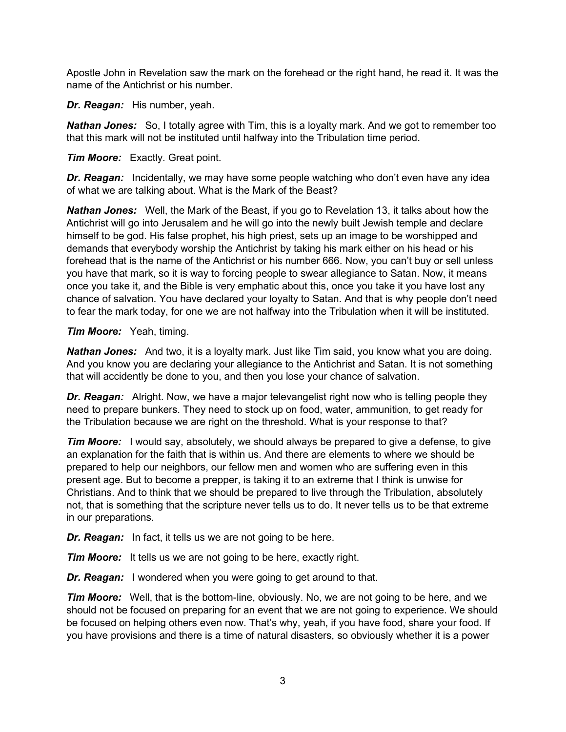Apostle John in Revelation saw the mark on the forehead or the right hand, he read it. It was the name of the Antichrist or his number.

*Dr. Reagan:* His number, yeah.

*Nathan Jones:* So, I totally agree with Tim, this is a loyalty mark. And we got to remember too that this mark will not be instituted until halfway into the Tribulation time period.

## *Tim Moore:* Exactly. Great point.

**Dr. Reagan:** Incidentally, we may have some people watching who don't even have any idea of what we are talking about. What is the Mark of the Beast?

*Nathan Jones:* Well, the Mark of the Beast, if you go to Revelation 13, it talks about how the Antichrist will go into Jerusalem and he will go into the newly built Jewish temple and declare himself to be god. His false prophet, his high priest, sets up an image to be worshipped and demands that everybody worship the Antichrist by taking his mark either on his head or his forehead that is the name of the Antichrist or his number 666. Now, you can't buy or sell unless you have that mark, so it is way to forcing people to swear allegiance to Satan. Now, it means once you take it, and the Bible is very emphatic about this, once you take it you have lost any chance of salvation. You have declared your loyalty to Satan. And that is why people don't need to fear the mark today, for one we are not halfway into the Tribulation when it will be instituted.

## *Tim Moore:* Yeah, timing.

*Nathan Jones:* And two, it is a loyalty mark. Just like Tim said, you know what you are doing. And you know you are declaring your allegiance to the Antichrist and Satan. It is not something that will accidently be done to you, and then you lose your chance of salvation.

**Dr. Reagan:** Alright. Now, we have a major televangelist right now who is telling people they need to prepare bunkers. They need to stock up on food, water, ammunition, to get ready for the Tribulation because we are right on the threshold. What is your response to that?

**Tim Moore:** I would say, absolutely, we should always be prepared to give a defense, to give an explanation for the faith that is within us. And there are elements to where we should be prepared to help our neighbors, our fellow men and women who are suffering even in this present age. But to become a prepper, is taking it to an extreme that I think is unwise for Christians. And to think that we should be prepared to live through the Tribulation, absolutely not, that is something that the scripture never tells us to do. It never tells us to be that extreme in our preparations.

*Dr. Reagan:* In fact, it tells us we are not going to be here.

*Tim Moore:* It tells us we are not going to be here, exactly right.

*Dr. Reagan:* I wondered when you were going to get around to that.

*Tim Moore:* Well, that is the bottom-line, obviously. No, we are not going to be here, and we should not be focused on preparing for an event that we are not going to experience. We should be focused on helping others even now. That's why, yeah, if you have food, share your food. If you have provisions and there is a time of natural disasters, so obviously whether it is a power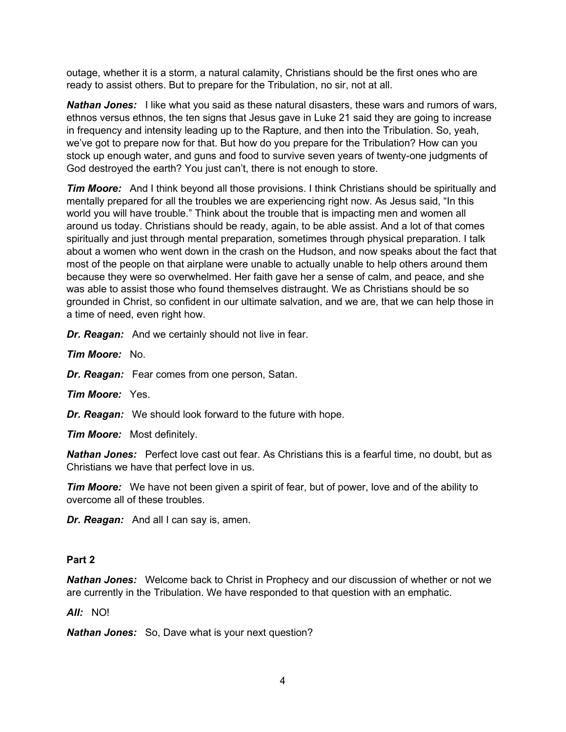outage, whether it is a storm, a natural calamity, Christians should be the first ones who are ready to assist others. But to prepare for the Tribulation, no sir, not at all.

*Nathan Jones:* I like what you said as these natural disasters, these wars and rumors of wars, ethnos versus ethnos, the ten signs that Jesus gave in Luke 21 said they are going to increase in frequency and intensity leading up to the Rapture, and then into the Tribulation. So, yeah, we've got to prepare now for that. But how do you prepare for the Tribulation? How can you stock up enough water, and guns and food to survive seven years of twenty-one judgments of God destroyed the earth? You just can't, there is not enough to store.

*Tim Moore:* And I think beyond all those provisions. I think Christians should be spiritually and mentally prepared for all the troubles we are experiencing right now. As Jesus said, "In this world you will have trouble." Think about the trouble that is impacting men and women all around us today. Christians should be ready, again, to be able assist. And a lot of that comes spiritually and just through mental preparation, sometimes through physical preparation. I talk about a women who went down in the crash on the Hudson, and now speaks about the fact that most of the people on that airplane were unable to actually unable to help others around them because they were so overwhelmed. Her faith gave her a sense of calm, and peace, and she was able to assist those who found themselves distraught. We as Christians should be so grounded in Christ, so confident in our ultimate salvation, and we are, that we can help those in a time of need, even right how.

*Dr. Reagan:* And we certainly should not live in fear.

*Tim Moore:* No.

*Dr. Reagan:* Fear comes from one person, Satan.

*Tim Moore:* Yes.

*Dr. Reagan:* We should look forward to the future with hope.

*Tim Moore:* Most definitely.

*Nathan Jones:* Perfect love cast out fear. As Christians this is a fearful time, no doubt, but as Christians we have that perfect love in us.

*Tim Moore:* We have not been given a spirit of fear, but of power, love and of the ability to overcome all of these troubles.

*Dr. Reagan:* And all I can say is, amen.

## **Part 2**

*Nathan Jones:* Welcome back to Christ in Prophecy and our discussion of whether or not we are currently in the Tribulation. We have responded to that question with an emphatic.

*All:* NO!

*Nathan Jones:* So, Dave what is your next question?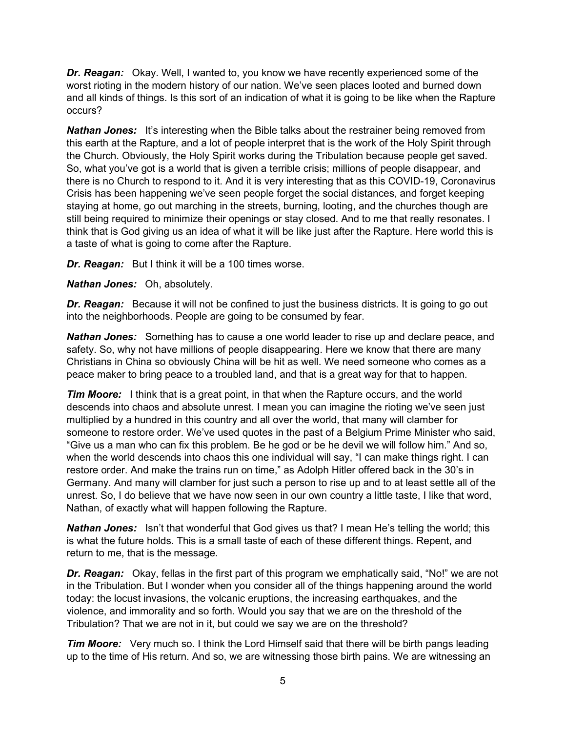*Dr. Reagan:* Okay. Well, I wanted to, you know we have recently experienced some of the worst rioting in the modern history of our nation. We've seen places looted and burned down and all kinds of things. Is this sort of an indication of what it is going to be like when the Rapture occurs?

**Nathan Jones:** It's interesting when the Bible talks about the restrainer being removed from this earth at the Rapture, and a lot of people interpret that is the work of the Holy Spirit through the Church. Obviously, the Holy Spirit works during the Tribulation because people get saved. So, what you've got is a world that is given a terrible crisis; millions of people disappear, and there is no Church to respond to it. And it is very interesting that as this COVID-19, Coronavirus Crisis has been happening we've seen people forget the social distances, and forget keeping staying at home, go out marching in the streets, burning, looting, and the churches though are still being required to minimize their openings or stay closed. And to me that really resonates. I think that is God giving us an idea of what it will be like just after the Rapture. Here world this is a taste of what is going to come after the Rapture.

*Dr. Reagan:* But I think it will be a 100 times worse.

*Nathan Jones:* Oh, absolutely.

*Dr. Reagan:* Because it will not be confined to just the business districts. It is going to go out into the neighborhoods. People are going to be consumed by fear.

*Nathan Jones:* Something has to cause a one world leader to rise up and declare peace, and safety. So, why not have millions of people disappearing. Here we know that there are many Christians in China so obviously China will be hit as well. We need someone who comes as a peace maker to bring peace to a troubled land, and that is a great way for that to happen.

*Tim Moore:* I think that is a great point, in that when the Rapture occurs, and the world descends into chaos and absolute unrest. I mean you can imagine the rioting we've seen just multiplied by a hundred in this country and all over the world, that many will clamber for someone to restore order. We've used quotes in the past of a Belgium Prime Minister who said, "Give us a man who can fix this problem. Be he god or be he devil we will follow him." And so, when the world descends into chaos this one individual will say, "I can make things right. I can restore order. And make the trains run on time," as Adolph Hitler offered back in the 30's in Germany. And many will clamber for just such a person to rise up and to at least settle all of the unrest. So, I do believe that we have now seen in our own country a little taste, I like that word, Nathan, of exactly what will happen following the Rapture.

*Nathan Jones:* Isn't that wonderful that God gives us that? I mean He's telling the world; this is what the future holds. This is a small taste of each of these different things. Repent, and return to me, that is the message.

*Dr. Reagan:* Okay, fellas in the first part of this program we emphatically said, "No!" we are not in the Tribulation. But I wonder when you consider all of the things happening around the world today: the locust invasions, the volcanic eruptions, the increasing earthquakes, and the violence, and immorality and so forth. Would you say that we are on the threshold of the Tribulation? That we are not in it, but could we say we are on the threshold?

*Tim Moore:* Very much so. I think the Lord Himself said that there will be birth pangs leading up to the time of His return. And so, we are witnessing those birth pains. We are witnessing an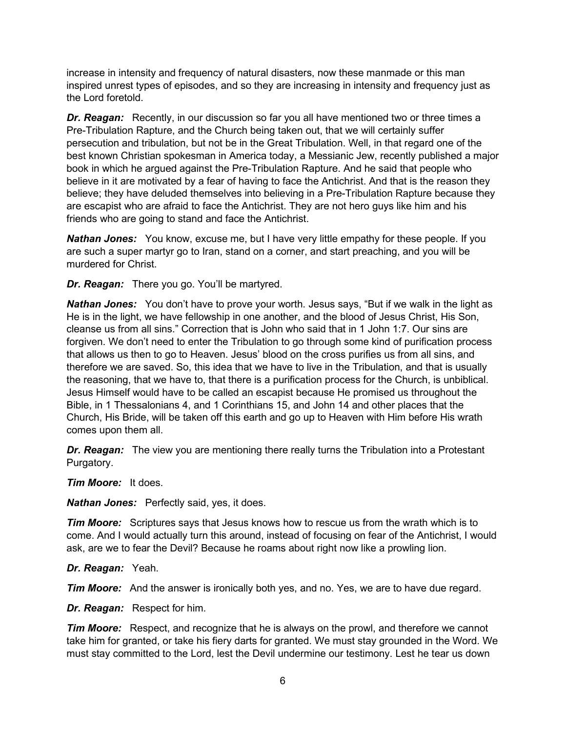increase in intensity and frequency of natural disasters, now these manmade or this man inspired unrest types of episodes, and so they are increasing in intensity and frequency just as the Lord foretold.

*Dr. Reagan:* Recently, in our discussion so far you all have mentioned two or three times a Pre-Tribulation Rapture, and the Church being taken out, that we will certainly suffer persecution and tribulation, but not be in the Great Tribulation. Well, in that regard one of the best known Christian spokesman in America today, a Messianic Jew, recently published a major book in which he argued against the Pre-Tribulation Rapture. And he said that people who believe in it are motivated by a fear of having to face the Antichrist. And that is the reason they believe; they have deluded themselves into believing in a Pre-Tribulation Rapture because they are escapist who are afraid to face the Antichrist. They are not hero guys like him and his friends who are going to stand and face the Antichrist.

*Nathan Jones:* You know, excuse me, but I have very little empathy for these people. If you are such a super martyr go to Iran, stand on a corner, and start preaching, and you will be murdered for Christ.

*Dr. Reagan:* There you go. You'll be martyred.

*Nathan Jones:* You don't have to prove your worth. Jesus says, "But if we walk in the light as He is in the light, we have fellowship in one another, and the blood of Jesus Christ, His Son, cleanse us from all sins." Correction that is John who said that in 1 John 1:7. Our sins are forgiven. We don't need to enter the Tribulation to go through some kind of purification process that allows us then to go to Heaven. Jesus' blood on the cross purifies us from all sins, and therefore we are saved. So, this idea that we have to live in the Tribulation, and that is usually the reasoning, that we have to, that there is a purification process for the Church, is unbiblical. Jesus Himself would have to be called an escapist because He promised us throughout the Bible, in 1 Thessalonians 4, and 1 Corinthians 15, and John 14 and other places that the Church, His Bride, will be taken off this earth and go up to Heaven with Him before His wrath comes upon them all.

*Dr. Reagan:* The view you are mentioning there really turns the Tribulation into a Protestant Purgatory.

*Tim Moore:* It does.

*Nathan Jones:* Perfectly said, yes, it does.

*Tim Moore:* Scriptures says that Jesus knows how to rescue us from the wrath which is to come. And I would actually turn this around, instead of focusing on fear of the Antichrist, I would ask, are we to fear the Devil? Because he roams about right now like a prowling lion.

*Dr. Reagan:* Yeah.

*Tim Moore:* And the answer is ironically both yes, and no. Yes, we are to have due regard.

*Dr. Reagan:* Respect for him.

*Tim Moore:* Respect, and recognize that he is always on the prowl, and therefore we cannot take him for granted, or take his fiery darts for granted. We must stay grounded in the Word. We must stay committed to the Lord, lest the Devil undermine our testimony. Lest he tear us down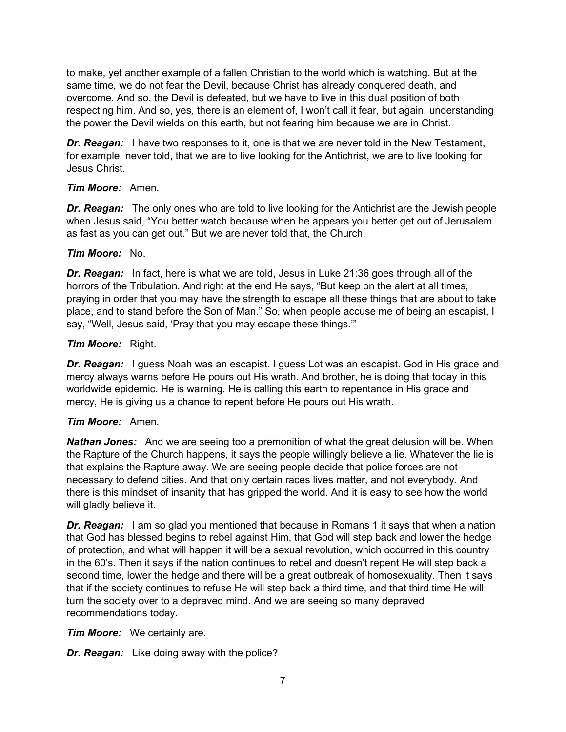to make, yet another example of a fallen Christian to the world which is watching. But at the same time, we do not fear the Devil, because Christ has already conquered death, and overcome. And so, the Devil is defeated, but we have to live in this dual position of both respecting him. And so, yes, there is an element of, I won't call it fear, but again, understanding the power the Devil wields on this earth, but not fearing him because we are in Christ.

*Dr. Reagan:* I have two responses to it, one is that we are never told in the New Testament, for example, never told, that we are to live looking for the Antichrist, we are to live looking for Jesus Christ.

## *Tim Moore:* Amen.

**Dr. Reagan:** The only ones who are told to live looking for the Antichrist are the Jewish people when Jesus said, "You better watch because when he appears you better get out of Jerusalem as fast as you can get out." But we are never told that, the Church.

## *Tim Moore:* No.

*Dr. Reagan:* In fact, here is what we are told, Jesus in Luke 21:36 goes through all of the horrors of the Tribulation. And right at the end He says, "But keep on the alert at all times, praying in order that you may have the strength to escape all these things that are about to take place, and to stand before the Son of Man." So, when people accuse me of being an escapist, I say, "Well, Jesus said, 'Pray that you may escape these things.'"

## *Tim Moore:* Right.

**Dr. Reagan:** I guess Noah was an escapist. I guess Lot was an escapist. God in His grace and mercy always warns before He pours out His wrath. And brother, he is doing that today in this worldwide epidemic. He is warning. He is calling this earth to repentance in His grace and mercy, He is giving us a chance to repent before He pours out His wrath.

## *Tim Moore:* Amen.

*Nathan Jones:* And we are seeing too a premonition of what the great delusion will be. When the Rapture of the Church happens, it says the people willingly believe a lie. Whatever the lie is that explains the Rapture away. We are seeing people decide that police forces are not necessary to defend cities. And that only certain races lives matter, and not everybody. And there is this mindset of insanity that has gripped the world. And it is easy to see how the world will gladly believe it.

**Dr. Reagan:** I am so glad you mentioned that because in Romans 1 it says that when a nation that God has blessed begins to rebel against Him, that God will step back and lower the hedge of protection, and what will happen it will be a sexual revolution, which occurred in this country in the 60's. Then it says if the nation continues to rebel and doesn't repent He will step back a second time, lower the hedge and there will be a great outbreak of homosexuality. Then it says that if the society continues to refuse He will step back a third time, and that third time He will turn the society over to a depraved mind. And we are seeing so many depraved recommendations today.

*Tim Moore:* We certainly are.

*Dr. Reagan:* Like doing away with the police?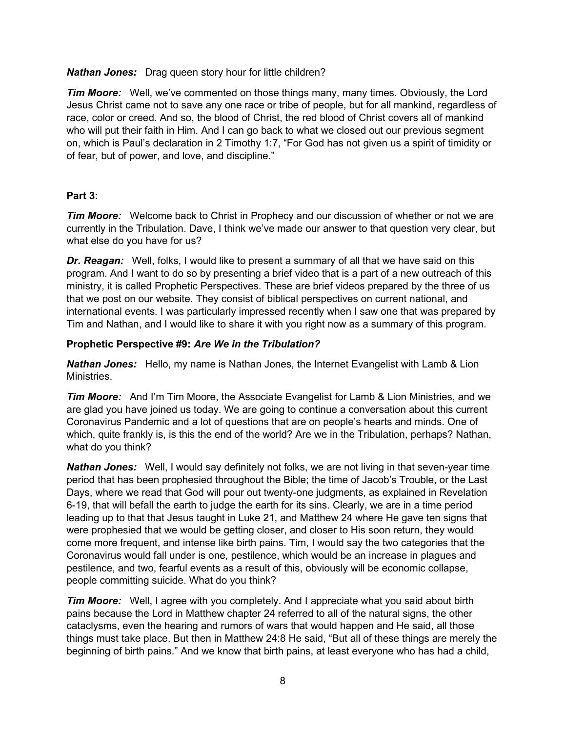*Nathan Jones:* Drag queen story hour for little children?

*Tim Moore:* Well, we've commented on those things many, many times. Obviously, the Lord Jesus Christ came not to save any one race or tribe of people, but for all mankind, regardless of race, color or creed. And so, the blood of Christ, the red blood of Christ covers all of mankind who will put their faith in Him. And I can go back to what we closed out our previous segment on, which is Paul's declaration in 2 Timothy 1:7, "For God has not given us a spirit of timidity or of fear, but of power, and love, and discipline."

## **Part 3:**

*Tim Moore:* Welcome back to Christ in Prophecy and our discussion of whether or not we are currently in the Tribulation. Dave, I think we've made our answer to that question very clear, but what else do you have for us?

*Dr. Reagan:* Well, folks, I would like to present a summary of all that we have said on this program. And I want to do so by presenting a brief video that is a part of a new outreach of this ministry, it is called Prophetic Perspectives. These are brief videos prepared by the three of us that we post on our website. They consist of biblical perspectives on current national, and international events. I was particularly impressed recently when I saw one that was prepared by Tim and Nathan, and I would like to share it with you right now as a summary of this program.

## **Prophetic Perspective #9:** *Are We in the Tribulation?*

*Nathan Jones:* Hello, my name is Nathan Jones, the Internet Evangelist with Lamb & Lion **Ministries** 

*Tim Moore:* And I'm Tim Moore, the Associate Evangelist for Lamb & Lion Ministries, and we are glad you have joined us today. We are going to continue a conversation about this current Coronavirus Pandemic and a lot of questions that are on people's hearts and minds. One of which, quite frankly is, is this the end of the world? Are we in the Tribulation, perhaps? Nathan, what do you think?

*Nathan Jones:* Well, I would say definitely not folks, we are not living in that seven-year time period that has been prophesied throughout the Bible; the time of Jacob's Trouble, or the Last Days, where we read that God will pour out twenty-one judgments, as explained in Revelation 6-19, that will befall the earth to judge the earth for its sins. Clearly, we are in a time period leading up to that that Jesus taught in Luke 21, and Matthew 24 where He gave ten signs that were prophesied that we would be getting closer, and closer to His soon return, they would come more frequent, and intense like birth pains. Tim, I would say the two categories that the Coronavirus would fall under is one, pestilence, which would be an increase in plagues and pestilence, and two, fearful events as a result of this, obviously will be economic collapse, people committing suicide. What do you think?

*Tim Moore:* Well, I agree with you completely. And I appreciate what you said about birth pains because the Lord in Matthew chapter 24 referred to all of the natural signs, the other cataclysms, even the hearing and rumors of wars that would happen and He said, all those things must take place. But then in Matthew 24:8 He said, "But all of these things are merely the beginning of birth pains." And we know that birth pains, at least everyone who has had a child,